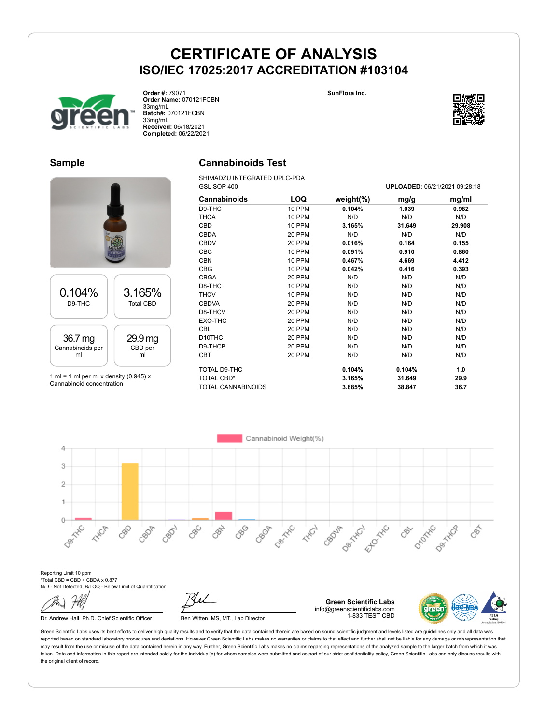**Cannabinoids Test** SHIMADZU INTEGRATED UPLC-PDA **SunFlora Inc.**



**Order #:** 79071 **Order Name:** 070121FCBN 33mg/mL **Batch#:** 070121FCBN 33mg/mL **Received:** 06/18/2021 **Completed:** 06/22/2021

#### **Sample**

# 0.104% D9-THC 3.165% Total CBD 36.7 mg Cannabinoids per ml 29.9 mg CBD per ml

1 ml = 1 ml per ml x density  $(0.945)$  x Cannabinoid concentration

| GSL SOP 400         |               |               |        | UPLOADED: 06/21/2021 09:28:18 |
|---------------------|---------------|---------------|--------|-------------------------------|
| <b>Cannabinoids</b> | LOQ           | weight $(\%)$ | mg/g   | mg/ml                         |
| D9-THC              | <b>10 PPM</b> | 0.104%        | 1.039  | 0.982                         |
| <b>THCA</b>         | 10 PPM        | N/D           | N/D    | N/D                           |
| <b>CBD</b>          | <b>10 PPM</b> | 3.165%        | 31.649 | 29.908                        |
| <b>CBDA</b>         | 20 PPM        | N/D           | N/D    | N/D                           |
| <b>CBDV</b>         | 20 PPM        | 0.016%        | 0.164  | 0.155                         |
| <b>CBC</b>          | <b>10 PPM</b> | 0.091%        | 0.910  | 0.860                         |
| <b>CBN</b>          | <b>10 PPM</b> | 0.467%        | 4.669  | 4.412                         |
| <b>CBG</b>          | <b>10 PPM</b> | 0.042%        | 0.416  | 0.393                         |
| <b>CBGA</b>         | 20 PPM        | N/D           | N/D    | N/D                           |
| D8-THC              | <b>10 PPM</b> | N/D           | N/D    | N/D                           |
| <b>THCV</b>         | <b>10 PPM</b> | N/D           | N/D    | N/D                           |
| <b>CBDVA</b>        | 20 PPM        | N/D           | N/D    | N/D                           |
| D8-THCV             | 20 PPM        | N/D           | N/D    | N/D                           |

EXO-THC 20 PPM N/D N/D N/D CBL 20 PPM N/D N/D N/D D10THC 20 PPM N/D N/D N/D D9-THCP 20 PPM N/D N/D N/D CBT 20 PPM N/D N/D N/D TOTAL D9-THC **0.104% 0.104% 1.0** TOTAL CBD\* **3.165% 31.649 29.9** TOTAL CANNABINOIDS **3.885% 38.847 36.7**

Cannabinoid Weight(%) 4 3  $\overline{2}$ 1  $\circ$ Desimilar Ellowski D<sub>ROTATIC</sub> Dentres Dex Hic 88 CRA CBO CBOT **HARCH** CBOJF Desimilation CBOR CROUT CBC E E

Reporting Limit 10 ppm \*Total CBD = CBD + CBDA x 0.877 N/D - Not Detected, B/LOQ - Below Limit of Quantification

Dr. Andrew Hall, Ph.D., Chief Scientific Officer Ben Witten, MS, MT., Lab Director

**Green Scientific Labs** info@greenscientificlabs.com 1-833 TEST CBD



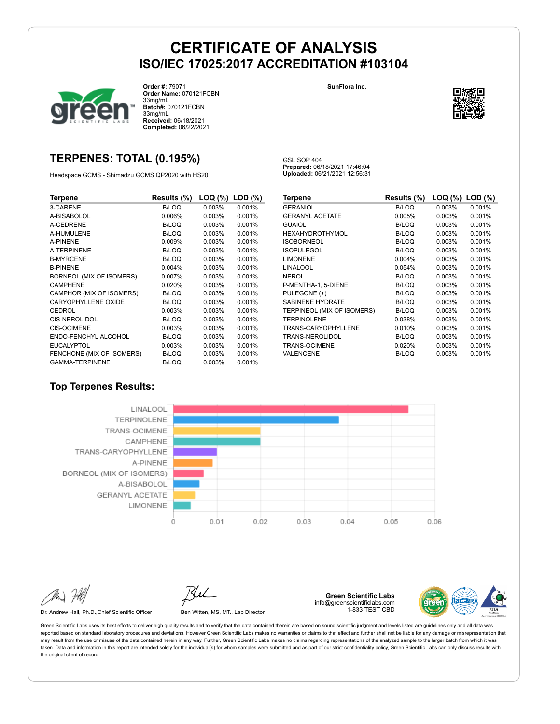

**Order #:** 79071 **Order Name:** 070121FCBN 33mg/mL **Batch#:** 070121FCBN 33mg/mL **Received:** 06/18/2021 **Completed:** 06/22/2021

### **TERPENES: TOTAL (0.195%)**

Headspace GCMS - Shimadzu GCMS QP2020 with HS20

#### GSL SOP 404 **Prepared:** 06/18/2021 17:46:04 **Uploaded:** 06/21/2021 12:56:31

**SunFlora Inc.**

| Terpene                   | Results (%)  | LOQ (%) | $LOD$ $(\%)$ |
|---------------------------|--------------|---------|--------------|
| 3-CARENE                  | <b>B/LOQ</b> | 0.003%  | 0.001%       |
| A-BISABOLOL               | 0.006%       | 0.003%  | 0.001%       |
| A-CEDRENE                 | B/LOQ        | 0.003%  | 0.001%       |
| A-HUMULENE                | B/LOQ        | 0.003%  | 0.001%       |
| <b>A-PINENE</b>           | 0.009%       | 0.003%  | 0.001%       |
| A-TERPINENE               | <b>B/LOQ</b> | 0.003%  | 0.001%       |
| <b>B-MYRCENE</b>          | B/LOQ        | 0.003%  | 0.001%       |
| <b>B-PINENE</b>           | 0.004%       | 0.003%  | 0.001%       |
| BORNEOL (MIX OF ISOMERS)  | 0.007%       | 0.003%  | 0.001%       |
| <b>CAMPHENE</b>           | 0.020%       | 0.003%  | 0.001%       |
| CAMPHOR (MIX OF ISOMERS)  | B/LOQ        | 0.003%  | 0.001%       |
| CARYOPHYLLENE OXIDE       | B/LOQ        | 0.003%  | 0.001%       |
| CEDROL                    | 0.003%       | 0.003%  | 0.001%       |
| <b>CIS-NEROLIDOL</b>      | B/LOQ        | 0.003%  | 0.001%       |
| <b>CIS-OCIMENE</b>        | 0.003%       | 0.003%  | 0.001%       |
| ENDO-FENCHYL ALCOHOL      | B/LOQ        | 0.003%  | 0.001%       |
| <b>EUCALYPTOL</b>         | 0.003%       | 0.003%  | 0.001%       |
| FENCHONE (MIX OF ISOMERS) | B/LOQ        | 0.003%  | 0.001%       |
| <b>GAMMA-TERPINENE</b>    | B/LOQ        | 0.003%  | 0.001%       |

| Terpene                    | Results (%)  | LOQ (%) | $LOD$ $(\%)$ |
|----------------------------|--------------|---------|--------------|
| <b>GERANIOL</b>            | <b>B/LOQ</b> | 0.003%  | 0.001%       |
| <b>GERANYL ACETATE</b>     | 0.005%       | 0.003%  | 0.001%       |
| <b>GUAIOL</b>              | B/LOQ        | 0.003%  | 0.001%       |
| <b>HEXAHYDROTHYMOL</b>     | B/LOQ        | 0.003%  | 0.001%       |
| <b>ISOBORNEOL</b>          | B/LOQ        | 0.003%  | 0.001%       |
| <b>ISOPULEGOL</b>          | B/LOQ        | 0.003%  | 0.001%       |
| <b>LIMONENE</b>            | 0.004%       | 0.003%  | 0.001%       |
| <b>LINALOOL</b>            | 0.054%       | 0.003%  | 0.001%       |
| <b>NEROL</b>               | B/LOQ        | 0.003%  | 0.001%       |
| P-MENTHA-1, 5-DIENE        | B/LOQ        | 0.003%  | 0.001%       |
| PULEGONE (+)               | B/LOQ        | 0.003%  | 0.001%       |
| SABINENE HYDRATE           | B/LOQ        | 0.003%  | 0.001%       |
| TERPINEOL (MIX OF ISOMERS) | B/LOQ        | 0.003%  | 0.001%       |
| <b>TERPINOLENE</b>         | 0.038%       | 0.003%  | 0.001%       |
| TRANS-CARYOPHYLLENE        | 0.010%       | 0.003%  | 0.001%       |
| TRANS-NEROLIDOL            | B/LOQ        | 0.003%  | 0.001%       |
| <b>TRANS-OCIMENE</b>       | 0.020%       | 0.003%  | 0.001%       |
| VALENCENE                  | B/LOQ        | 0.003%  | 0.001%       |

### **Top Terpenes Results:**



Dr. Andrew Hall, Ph.D., Chief Scientific Officer Ben Witten, MS, MT., Lab Director

**Green Scientific Labs** info@greenscientificlabs.com 1-833 TEST CBD



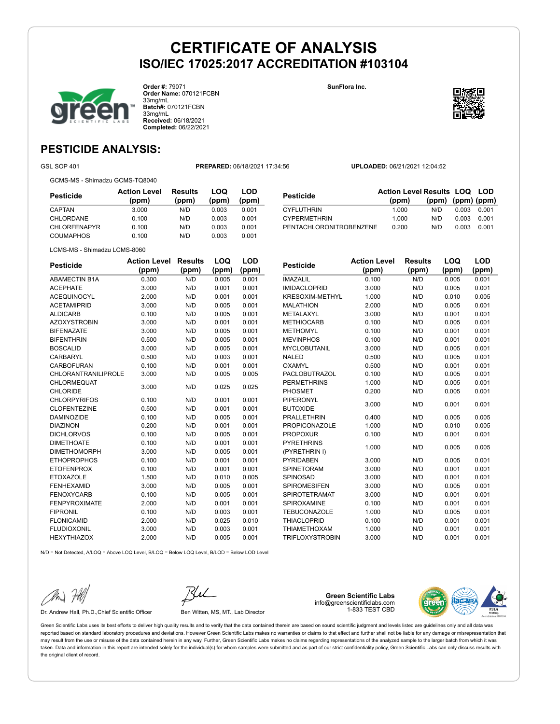

**Order #:** 79071 **Order Name:** 070121FCBN 33mg/mL **Batch#:** 070121FCBN 33mg/mL **Received:** 06/18/2021 **Completed:** 06/22/2021

**SunFlora Inc.**



### **PESTICIDE ANALYSIS:**

GSL SOP 401 **PREPARED:** 06/18/2021 17:34:56 **UPLOADED:** 06/21/2021 12:04:52

GCMS-MS - Shimadzu GCMS-TQ8040

| Pesticide           | <b>Action Level</b><br>(ppm) | Results<br>(ppm) | LOQ<br>(ppm) | LOD<br>(ppm) |
|---------------------|------------------------------|------------------|--------------|--------------|
| CAPTAN              | 3.000                        | N/D              | 0.003        | 0.001        |
| CHLORDANE           | 0.100                        | N/D              | 0.003        | 0.001        |
| <b>CHLORFENAPYR</b> | 0.100                        | N/D              | 0.003        | 0.001        |
| <b>COUMAPHOS</b>    | 0.100                        | N/D              | 0.003        | 0.001        |

|                                | <b>Action Level Results LOQ LOD</b> |                         |       |       |
|--------------------------------|-------------------------------------|-------------------------|-------|-------|
| Pesticide                      | (ppm)                               | $(ppm)$ $(ppm)$ $(ppm)$ |       |       |
| <b>CYFLUTHRIN</b>              | 1.000                               | N/D.                    | 0.003 | 0.001 |
| <b>CYPERMETHRIN</b>            | 1.000                               | N/D                     | 0.003 | 0.001 |
| <b>PENTACHLORONITROBENZENE</b> | 0.200                               | N/D                     | 0.003 | 0.001 |

LCMS-MS - Shimadzu LCMS-8060

| <b>Pesticide</b>           | <b>Action Level</b> | <b>Results</b> | LOQ   | LOD   |
|----------------------------|---------------------|----------------|-------|-------|
|                            | (ppm)               | (ppm)          | (ppm) | (ppm) |
| <b>ABAMECTIN B1A</b>       | 0.300               | N/D            | 0.005 | 0.001 |
| <b>ACEPHATE</b>            | 3.000               | N/D            | 0.001 | 0.001 |
| <b>ACEQUINOCYL</b>         | 2.000               | N/D            | 0.001 | 0.001 |
| <b>ACETAMIPRID</b>         | 3.000               | N/D            | 0.005 | 0.001 |
| <b>ALDICARB</b>            | 0.100               | N/D            | 0.005 | 0.001 |
| <b>AZOXYSTROBIN</b>        | 3.000               | N/D            | 0.001 | 0.001 |
| <b>BIFENAZATE</b>          | 3.000               | N/D            | 0.005 | 0.001 |
| <b>BIFENTHRIN</b>          | 0.500               | N/D            | 0.005 | 0.001 |
| <b>BOSCALID</b>            | 3.000               | N/D            | 0.005 | 0.001 |
| CARBARYL                   | 0.500               | N/D            | 0.003 | 0.001 |
| <b>CARBOFURAN</b>          | 0.100               | N/D            | 0.001 | 0.001 |
| <b>CHLORANTRANILIPROLE</b> | 3.000               | N/D            | 0.005 | 0.005 |
| <b>CHLORMEQUAT</b>         | 3.000               | N/D            | 0.025 | 0.025 |
| <b>CHLORIDE</b>            |                     |                |       |       |
| <b>CHLORPYRIFOS</b>        | 0.100               | N/D            | 0.001 | 0.001 |
| <b>CLOFENTEZINE</b>        | 0.500               | N/D            | 0.001 | 0.001 |
| <b>DAMINOZIDE</b>          | 0.100               | N/D            | 0.005 | 0.001 |
| <b>DIAZINON</b>            | 0.200               | N/D            | 0.001 | 0.001 |
| <b>DICHLORVOS</b>          | 0.100               | N/D            | 0.005 | 0.001 |
| <b>DIMETHOATE</b>          | 0.100               | N/D            | 0.001 | 0.001 |
| <b>DIMETHOMORPH</b>        | 3.000               | N/D            | 0.005 | 0.001 |
| <b>ETHOPROPHOS</b>         | 0.100               | N/D            | 0.001 | 0.001 |
| <b>ETOFENPROX</b>          | 0.100               | N/D            | 0.001 | 0.001 |
| <b>ETOXAZOLE</b>           | 1.500               | N/D            | 0.010 | 0.005 |
| <b>FENHEXAMID</b>          | 3.000               | N/D            | 0.005 | 0.001 |
| <b>FENOXYCARB</b>          | 0.100               | N/D            | 0.005 | 0.001 |
| <b>FENPYROXIMATE</b>       | 2.000               | N/D            | 0.001 | 0.001 |
| <b>FIPRONIL</b>            | 0.100               | N/D            | 0.003 | 0.001 |
| <b>FLONICAMID</b>          | 2.000               | N/D            | 0.025 | 0.010 |
| <b>FLUDIOXONIL</b>         | 3.000               | N/D            | 0.003 | 0.001 |
| <b>HEXYTHIAZOX</b>         | 2.000               | N/D            | 0.005 | 0.001 |

| <b>Pesticide</b>       | <b>Action Level</b> | <b>Results</b> | LOQ   | LOD   |
|------------------------|---------------------|----------------|-------|-------|
|                        | (ppm)               | (ppm)          | (ppm) | (ppm) |
| <b>IMAZALIL</b>        | 0.100               | N/D            | 0.005 | 0.001 |
| <b>IMIDACLOPRID</b>    | 3.000               | N/D            | 0.005 | 0.001 |
| <b>KRESOXIM-METHYL</b> | 1.000               | N/D            | 0.010 | 0.005 |
| <b>MALATHION</b>       | 2.000               | N/D            | 0.005 | 0.001 |
| METALAXYL              | 3.000               | N/D            | 0.001 | 0.001 |
| <b>METHIOCARB</b>      | 0.100               | N/D            | 0.005 | 0.001 |
| <b>METHOMYL</b>        | 0.100               | N/D            | 0.001 | 0.001 |
| <b>MEVINPHOS</b>       | 0.100               | N/D            | 0.001 | 0.001 |
| <b>MYCLOBUTANIL</b>    | 3.000               | N/D            | 0.005 | 0.001 |
| <b>NALED</b>           | 0.500               | N/D            | 0.005 | 0.001 |
| <b>OXAMYL</b>          | 0.500               | N/D            | 0.001 | 0.001 |
| <b>PACLOBUTRAZOL</b>   | 0.100               | N/D            | 0.005 | 0.001 |
| <b>PERMETHRINS</b>     | 1.000               | N/D            | 0.005 | 0.001 |
| PHOSMET                | 0.200               | N/D            | 0.005 | 0.001 |
| <b>PIPERONYL</b>       | 3.000               | N/D            | 0.001 | 0.001 |
| <b>BUTOXIDE</b>        |                     |                |       |       |
| <b>PRALLETHRIN</b>     | 0.400               | N/D            | 0.005 | 0.005 |
| <b>PROPICONAZOLE</b>   | 1.000               | N/D            | 0.010 | 0.005 |
| <b>PROPOXUR</b>        | 0.100               | N/D            | 0.001 | 0.001 |
| <b>PYRETHRINS</b>      | 1.000               | N/D            | 0.005 | 0.005 |
| (PYRETHRIN I)          |                     |                |       |       |
| <b>PYRIDABEN</b>       | 3.000               | N/D            | 0.005 | 0.001 |
| <b>SPINETORAM</b>      | 3.000               | N/D            | 0.001 | 0.001 |
| <b>SPINOSAD</b>        | 3.000               | N/D            | 0.001 | 0.001 |
| <b>SPIROMESIFEN</b>    | 3.000               | N/D            | 0.005 | 0.001 |
| <b>SPIROTETRAMAT</b>   | 3.000               | N/D            | 0.001 | 0.001 |
| SPIROXAMINE            | 0.100               | N/D            | 0.001 | 0.001 |
| <b>TEBUCONAZOLE</b>    | 1.000               | N/D            | 0.005 | 0.001 |
| <b>THIACLOPRID</b>     | 0.100               | N/D            | 0.001 | 0.001 |
| <b>THIAMETHOXAM</b>    | 1.000               | N/D            | 0.001 | 0.001 |
| <b>TRIFLOXYSTROBIN</b> | 3.000               | N/D            | 0.001 | 0.001 |

N/D = Not Detected, A/LOQ = Above LOQ Level, B/LOQ = Below LOQ Level, B/LOD = Below LOD Level

Dr. Andrew Hall, Ph.D., Chief Scientific Officer Ben Witten, MS, MT., Lab Director

**Green Scientific Labs** info@greenscientificlabs.com 1-833 TEST CBD

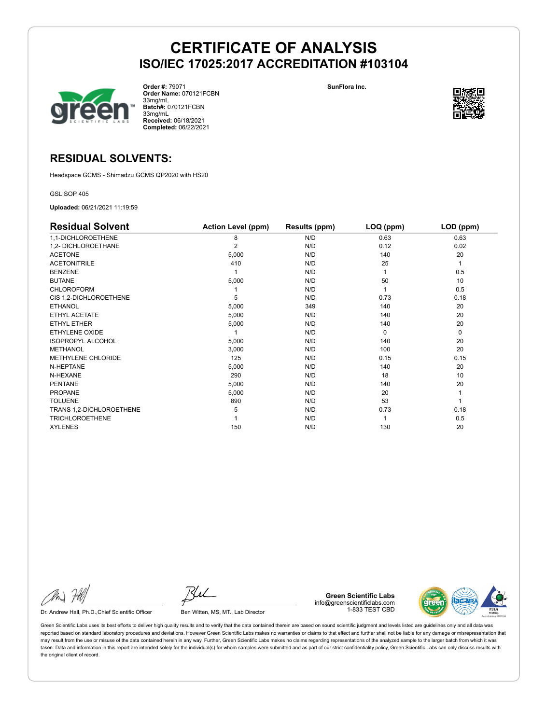

**Order #:** 79071 **Order Name:** 070121FCBN 33mg/mL **Batch#:** 070121FCBN 33mg/mL **Received:** 06/18/2021 **Completed:** 06/22/2021

**SunFlora Inc.**



### **RESIDUAL SOLVENTS:**

Headspace GCMS - Shimadzu GCMS QP2020 with HS20

#### GSL SOP 405

**Uploaded:** 06/21/2021 11:19:59

| <b>Residual Solvent</b>   | <b>Action Level (ppm)</b> | Results (ppm) | LOQ (ppm) | LOD (ppm)   |
|---------------------------|---------------------------|---------------|-----------|-------------|
| 1,1-DICHLOROETHENE        | 8                         | N/D           | 0.63      | 0.63        |
| 1,2- DICHLOROETHANE       | 2                         | N/D           | 0.12      | 0.02        |
| <b>ACETONE</b>            | 5,000                     | N/D           | 140       | 20          |
| <b>ACETONITRILE</b>       | 410                       | N/D           | 25        | 1           |
| <b>BENZENE</b>            |                           | N/D           |           | 0.5         |
| <b>BUTANE</b>             | 5,000                     | N/D           | 50        | 10          |
| <b>CHLOROFORM</b>         |                           | N/D           |           | 0.5         |
| CIS 1,2-DICHLOROETHENE    | 5                         | N/D           | 0.73      | 0.18        |
| <b>ETHANOL</b>            | 5,000                     | 349           | 140       | 20          |
| ETHYL ACETATE             | 5,000                     | N/D           | 140       | 20          |
| ETHYL ETHER               | 5,000                     | N/D           | 140       | 20          |
| ETHYLENE OXIDE            |                           | N/D           | $\Omega$  | $\mathbf 0$ |
| <b>ISOPROPYL ALCOHOL</b>  | 5,000                     | N/D           | 140       | 20          |
| <b>METHANOL</b>           | 3,000                     | N/D           | 100       | 20          |
| <b>METHYLENE CHLORIDE</b> | 125                       | N/D           | 0.15      | 0.15        |
| N-HEPTANE                 | 5,000                     | N/D           | 140       | 20          |
| N-HEXANE                  | 290                       | N/D           | 18        | 10          |
| <b>PENTANE</b>            | 5,000                     | N/D           | 140       | 20          |
| PROPANE                   | 5,000                     | N/D           | 20        | 1           |
| <b>TOLUENE</b>            | 890                       | N/D           | 53        |             |
| TRANS 1,2-DICHLOROETHENE  | 5                         | N/D           | 0.73      | 0.18        |
| <b>TRICHLOROETHENE</b>    |                           | N/D           |           | 0.5         |
| <b>XYLENES</b>            | 150                       | N/D           | 130       | 20          |

Dr. Andrew Hall, Ph.D., Chief Scientific Officer Ben Witten, MS, MT., Lab Director

**Green Scientific Labs** info@greenscientificlabs.com 1-833 TEST CBD

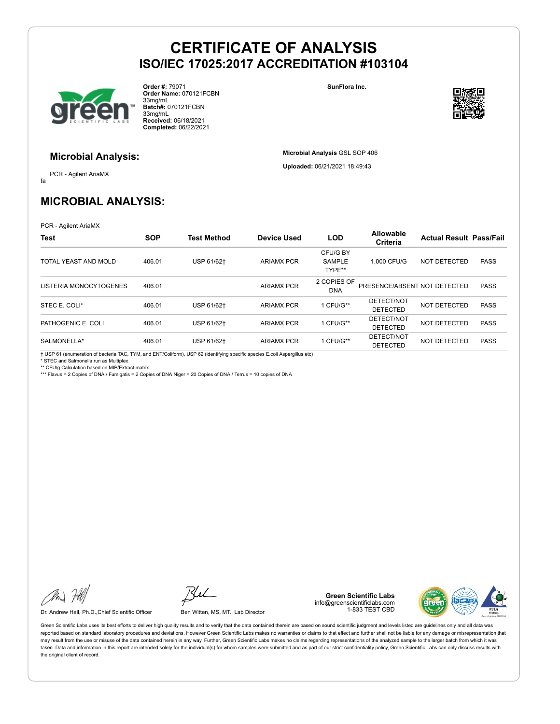

**Order #:** 79071 **Order Name:** 070121FCBN 33mg/mL **Batch#:** 070121FCBN 33mg/mL **Received:** 06/18/2021 **Completed:** 06/22/2021

**SunFlora Inc.**

**Microbial Analysis** GSL SOP 406 **Uploaded:** 06/21/2021 18:49:43



#### **Microbial Analysis:**

fa PCR - Agilent AriaMX

### **MICROBIAL ANALYSIS:**

PCR - Agilent AriaMX

| Test                   | <b>SOP</b> | Test Method | <b>Device Used</b> | <b>LOD</b>                          | Allowable<br>Criteria         | <b>Actual Result Pass/Fail</b> |             |
|------------------------|------------|-------------|--------------------|-------------------------------------|-------------------------------|--------------------------------|-------------|
| TOTAL YEAST AND MOLD   | 406.01     | USP 61/62+  | <b>ARIAMX PCR</b>  | CFU/G BY<br><b>SAMPLE</b><br>TYPE** | 1.000 CFU/G                   | NOT DETECTED                   | <b>PASS</b> |
| LISTERIA MONOCYTOGENES | 406.01     |             | <b>ARIAMX PCR</b>  | 2 COPIES OF<br><b>DNA</b>           | PRESENCE/ABSENT NOT DETECTED  |                                | <b>PASS</b> |
| STEC E. COLI*          | 406.01     | USP 61/62+  | <b>ARIAMX PCR</b>  | 1 CFU/G**                           | DETECT/NOT<br><b>DETECTED</b> | NOT DETECTED                   | <b>PASS</b> |
| PATHOGENIC E. COLI     | 406.01     | USP 61/62+  | <b>ARIAMX PCR</b>  | 1 CFU/G**                           | DETECT/NOT<br><b>DETECTED</b> | NOT DETECTED                   | <b>PASS</b> |
| SALMONELLA*            | 406.01     | USP 61/62+  | <b>ARIAMX PCR</b>  | 1 CFU/G**                           | DETECT/NOT<br><b>DETECTED</b> | NOT DETECTED                   | <b>PASS</b> |

† USP 61 (enumeration of bacteria TAC, TYM, and ENT/Coliform), USP 62 (identifying specific species E.coli Aspergillus etc)

\* STEC and Salmonella run as Multiplex \*\* CFU/g Calculation based on MIP/Extract matrix

\*\*\* Flavus = 2 Copies of DNA / Fumigatis = 2 Copies of DNA Niger = 20 Copies of DNA / Terrus = 10 copies of DNA

Dr. Andrew Hall, Ph.D., Chief Scientific Officer Ben Witten, MS, MT., Lab Director

**Green Scientific Labs** info@greenscientificlabs.com 1-833 TEST CBD